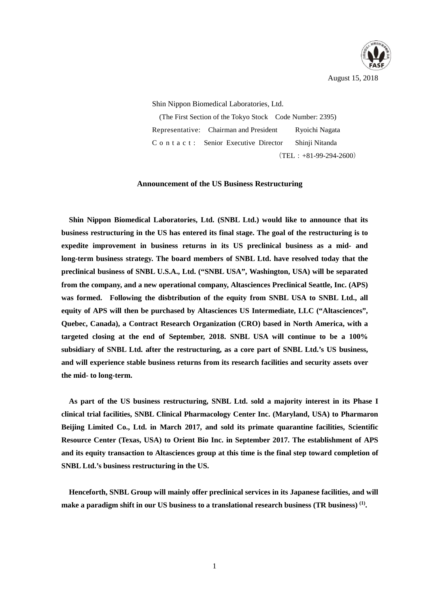

Shin Nippon Biomedical Laboratories, Ltd.

(The First Section of the Tokyo Stock Code Number: 2395) Representative: Chairman and President Ryoichi Nagata C o n t a c t : Senior Executive Director Shinji Nitanda  $(TEL: +81-99-294-2600)$ 

### **Announcement of the US Business Restructuring**

**Shin Nippon Biomedical Laboratories, Ltd. (SNBL Ltd.) would like to announce that its business restructuring in the US has entered its final stage. The goal of the restructuring is to expedite improvement in business returns in its US preclinical business as a mid- and long-term business strategy. The board members of SNBL Ltd. have resolved today that the preclinical business of SNBL U.S.A., Ltd. ("SNBL USA", Washington, USA) will be separated from the company, and a new operational company, Altasciences Preclinical Seattle, Inc. (APS) was formed. Following the disbtribution of the equity from SNBL USA to SNBL Ltd., all equity of APS will then be purchased by Altasciences US Intermediate, LLC ("Altasciences", Quebec, Canada), a Contract Research Organization (CRO) based in North America, with a targeted closing at the end of September, 2018. SNBL USA will continue to be a 100% subsidiary of SNBL Ltd. after the restructuring, as a core part of SNBL Ltd.'s US business, and will experience stable business returns from its research facilities and security assets over the mid- to long-term.** 

**As part of the US business restructuring, SNBL Ltd. sold a majority interest in its Phase I clinical trial facilities, SNBL Clinical Pharmacology Center Inc. (Maryland, USA) to Pharmaron Beijing Limited Co., Ltd. in March 2017, and sold its primate quarantine facilities, Scientific Resource Center (Texas, USA) to Orient Bio Inc. in September 2017. The establishment of APS and its equity transaction to Altasciences group at this time is the final step toward completion of SNBL Ltd.'s business restructuring in the US.** 

**Henceforth, SNBL Group will mainly offer preclinical services in its Japanese facilities, and will make a paradigm shift in our US business to a translational research business (TR business) (1) .**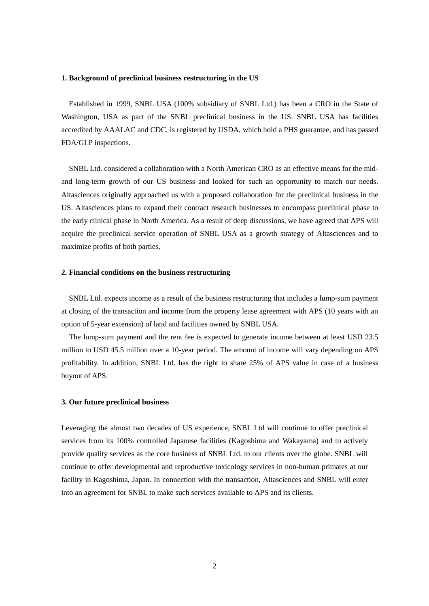#### **1. Background of preclinical business restructuring in the US**

Established in 1999, SNBL USA (100% subsidiary of SNBL Ltd.) has been a CRO in the State of Washington, USA as part of the SNBL preclinical business in the US. SNBL USA has facilities accredited by AAALAC and CDC, is registered by USDA, which hold a PHS guarantee, and has passed FDA/GLP inspections.

SNBL Ltd. considered a collaboration with a North American CRO as an effective means for the midand long-term growth of our US business and looked for such an opportunity to match our needs. Altasciences originally approached us with a proposed collaboration for the preclinical business in the US. Altasciences plans to expand their contract research businesses to encompass preclinical phase to the early clinical phase in North America. As a result of deep discussions, we have agreed that APS will acquire the preclinical service operation of SNBL USA as a growth strategy of Altasciences and to maximize profits of both parties,

## **2. Financial conditions on the business restructuring**

SNBL Ltd. expects income as a result of the business restructuring that includes a lump-sum payment at closing of the transaction and income from the property lease agreement with APS (10 years with an option of 5-year extension) of land and facilities owned by SNBL USA.

The lump-sum payment and the rent fee is expected to generate income between at least USD 23.5 million to USD 45.5 million over a 10-year period. The amount of income will vary depending on APS profitability. In addition, SNBL Ltd. has the right to share 25% of APS value in case of a business buyout of APS.

#### **3. Our future preclinical business**

Leveraging the almost two decades of US experience, SNBL Ltd will continue to offer preclinical services from its 100% controlled Japanese facilities (Kagoshima and Wakayama) and to actively provide quality services as the core business of SNBL Ltd. to our clients over the globe. SNBL will continue to offer developmental and reproductive toxicology services in non-human primates at our facility in Kagoshima, Japan. In connection with the transaction, Altasciences and SNBL will enter into an agreement for SNBL to make such services available to APS and its clients.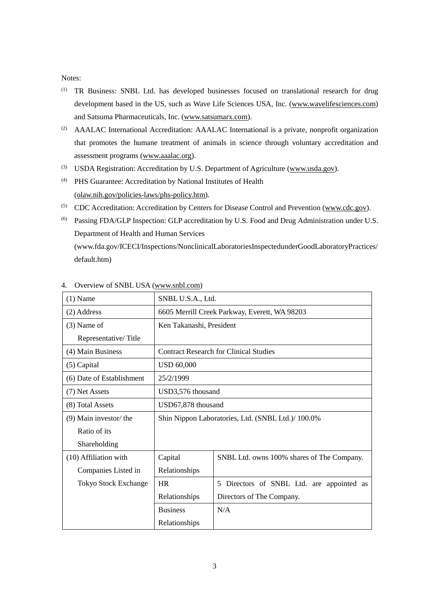## Notes:

- (1) TR Business: SNBL Ltd. has developed businesses focused on translational research for drug development based in the US, such as Wave Life Sciences USA, Inc. (www.wavelifesciences.com) and Satsuma Pharmaceuticals, Inc. (www.satsumarx.com).
- (2) AAALAC International Accreditation: AAALAC International is a private, nonprofit organization that promotes the humane treatment of animals in science through voluntary accreditation and assessment programs (www.aaalac.org).
- (3) USDA Registration: Accreditation by U.S. Department of Agriculture (www.usda.gov).
- (4) PHS Guarantee: Accreditation by National Institutes of Health (olaw.nih.gov/policies-laws/phs-policy.htm).
- (5) CDC Accreditation: Accreditation by Centers for Disease Control and Prevention (www.cdc.gov).
- (6) Passing FDA/GLP Inspection: GLP accreditation by U.S. Food and Drug Administration under U.S. Department of Health and Human Services (www.fda.gov/ICECI/Inspections/NonclinicalLaboratoriesInspectedunderGoodLaboratoryPractices/ default.htm)

| $(1)$ Name                  | SNBL U.S.A., Ltd.                                  |                                              |
|-----------------------------|----------------------------------------------------|----------------------------------------------|
| (2) Address                 | 6605 Merrill Creek Parkway, Everett, WA 98203      |                                              |
| $(3)$ Name of               | Ken Takanashi, President                           |                                              |
| Representative/Title        |                                                    |                                              |
| (4) Main Business           | <b>Contract Research for Clinical Studies</b>      |                                              |
| (5) Capital                 | <b>USD 60,000</b>                                  |                                              |
| (6) Date of Establishment   | 25/2/1999                                          |                                              |
| (7) Net Assets              | USD3,576 thousand                                  |                                              |
| (8) Total Assets            | USD67,878 thousand                                 |                                              |
| $(9)$ Main investor/ the    | Shin Nippon Laboratories, Ltd. (SNBL Ltd.)/ 100.0% |                                              |
| Ratio of its                |                                                    |                                              |
| Shareholding                |                                                    |                                              |
| (10) Affiliation with       | Capital                                            | SNBL Ltd. owns 100% shares of The Company.   |
| Companies Listed in         | Relationships                                      |                                              |
| <b>Tokyo Stock Exchange</b> | <b>HR</b>                                          | Directors of SNBL Ltd. are appointed as<br>5 |
|                             | Relationships                                      | Directors of The Company.                    |
|                             | <b>Business</b>                                    | N/A                                          |
|                             | Relationships                                      |                                              |

4. Overview of SNBL USA (www.snbl.com)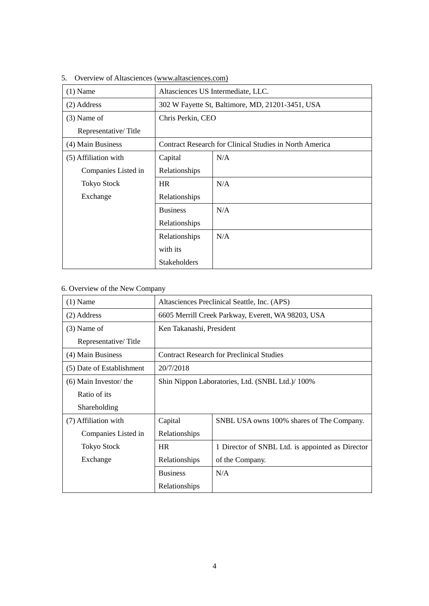| $(1)$ Name           | Altasciences US Intermediate, LLC.                             |     |  |
|----------------------|----------------------------------------------------------------|-----|--|
| (2) Address          | 302 W Fayette St, Baltimore, MD, 21201-3451, USA               |     |  |
| $(3)$ Name of        | Chris Perkin, CEO                                              |     |  |
| Representative/Title |                                                                |     |  |
| (4) Main Business    | <b>Contract Research for Clinical Studies in North America</b> |     |  |
| (5) Affiliation with | Capital                                                        | N/A |  |
| Companies Listed in  | Relationships                                                  |     |  |
| <b>Tokyo Stock</b>   | <b>HR</b>                                                      | N/A |  |
| Exchange             | Relationships                                                  |     |  |
|                      | <b>Business</b>                                                | N/A |  |
|                      | Relationships                                                  |     |  |
|                      | Relationships                                                  | N/A |  |
|                      | with its                                                       |     |  |
|                      | <b>Stakeholders</b>                                            |     |  |

5. Overview of Altasciences (www.altasciences.com)

# 6. Overview of the New Company

| $(1)$ Name                | Altasciences Preclinical Seattle, Inc. (APS)       |                                                  |  |
|---------------------------|----------------------------------------------------|--------------------------------------------------|--|
| (2) Address               | 6605 Merrill Creek Parkway, Everett, WA 98203, USA |                                                  |  |
| $(3)$ Name of             | Ken Takanashi, President                           |                                                  |  |
| Representative/Title      |                                                    |                                                  |  |
| (4) Main Business         | <b>Contract Research for Preclinical Studies</b>   |                                                  |  |
| (5) Date of Establishment | 20/7/2018                                          |                                                  |  |
| (6) Main Investor/ the    | Shin Nippon Laboratories, Ltd. (SNBL Ltd.)/100%    |                                                  |  |
| Ratio of its              |                                                    |                                                  |  |
| Shareholding              |                                                    |                                                  |  |
| (7) Affiliation with      | Capital                                            | SNBL USA owns 100% shares of The Company.        |  |
| Companies Listed in       | Relationships                                      |                                                  |  |
| <b>Tokyo Stock</b>        | <b>HR</b>                                          | 1 Director of SNBL Ltd. is appointed as Director |  |
| Exchange                  | Relationships                                      | of the Company.                                  |  |
|                           | <b>Business</b>                                    | N/A                                              |  |
|                           | Relationships                                      |                                                  |  |